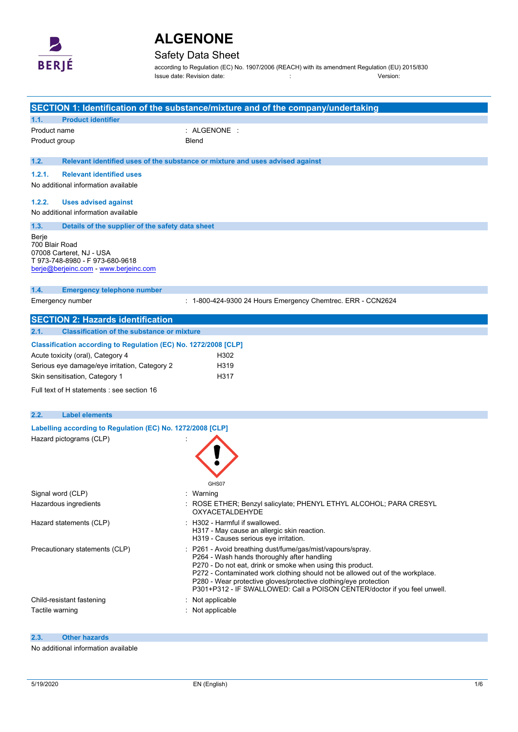

## Safety Data Sheet

according to Regulation (EC) No. 1907/2006 (REACH) with its amendment Regulation (EU) 2015/830 Issue date: Revision date: : Version:

|                                                                                                                                                                                                                                       | SECTION 1: Identification of the substance/mixture and of the company/undertaking                                                                                                                                                                                                                                                                                                                       |
|---------------------------------------------------------------------------------------------------------------------------------------------------------------------------------------------------------------------------------------|---------------------------------------------------------------------------------------------------------------------------------------------------------------------------------------------------------------------------------------------------------------------------------------------------------------------------------------------------------------------------------------------------------|
| <b>Product identifier</b><br>1.1.                                                                                                                                                                                                     |                                                                                                                                                                                                                                                                                                                                                                                                         |
| Product name                                                                                                                                                                                                                          | $:$ ALGENONE $:$                                                                                                                                                                                                                                                                                                                                                                                        |
| Product group                                                                                                                                                                                                                         | Blend                                                                                                                                                                                                                                                                                                                                                                                                   |
| 1.2.                                                                                                                                                                                                                                  | Relevant identified uses of the substance or mixture and uses advised against                                                                                                                                                                                                                                                                                                                           |
| 1.2.1.<br><b>Relevant identified uses</b>                                                                                                                                                                                             |                                                                                                                                                                                                                                                                                                                                                                                                         |
| No additional information available                                                                                                                                                                                                   |                                                                                                                                                                                                                                                                                                                                                                                                         |
| 1.2.2.<br><b>Uses advised against</b>                                                                                                                                                                                                 |                                                                                                                                                                                                                                                                                                                                                                                                         |
| No additional information available                                                                                                                                                                                                   |                                                                                                                                                                                                                                                                                                                                                                                                         |
| 1.3.<br>Details of the supplier of the safety data sheet                                                                                                                                                                              |                                                                                                                                                                                                                                                                                                                                                                                                         |
| Berje<br>700 Blair Road<br>07008 Carteret, NJ - USA<br>T 973-748-8980 - F 973-680-9618<br>berje@berjeinc.com - www.berjeinc.com                                                                                                       |                                                                                                                                                                                                                                                                                                                                                                                                         |
| 1.4.<br><b>Emergency telephone number</b>                                                                                                                                                                                             |                                                                                                                                                                                                                                                                                                                                                                                                         |
| Emergency number                                                                                                                                                                                                                      | : 1-800-424-9300 24 Hours Emergency Chemtrec. ERR - CCN2624                                                                                                                                                                                                                                                                                                                                             |
| <b>SECTION 2: Hazards identification</b>                                                                                                                                                                                              |                                                                                                                                                                                                                                                                                                                                                                                                         |
| <b>Classification of the substance or mixture</b><br>2.1.                                                                                                                                                                             |                                                                                                                                                                                                                                                                                                                                                                                                         |
| Classification according to Regulation (EC) No. 1272/2008 [CLP]<br>Acute toxicity (oral), Category 4<br>Serious eye damage/eye irritation, Category 2<br>Skin sensitisation, Category 1<br>Full text of H statements : see section 16 | H302<br>H319<br>H317                                                                                                                                                                                                                                                                                                                                                                                    |
|                                                                                                                                                                                                                                       |                                                                                                                                                                                                                                                                                                                                                                                                         |
| 2.2.<br><b>Label elements</b>                                                                                                                                                                                                         |                                                                                                                                                                                                                                                                                                                                                                                                         |
| Labelling according to Regulation (EC) No. 1272/2008 [CLP]<br>Hazard pictograms (CLP)                                                                                                                                                 | GHS07                                                                                                                                                                                                                                                                                                                                                                                                   |
| Signal word (CLP)                                                                                                                                                                                                                     | : Warning                                                                                                                                                                                                                                                                                                                                                                                               |
| Hazardous ingredients                                                                                                                                                                                                                 | ROSE ETHER; Benzyl salicylate; PHENYL ETHYL ALCOHOL; PARA CRESYL<br>OXYACETALDEHYDE                                                                                                                                                                                                                                                                                                                     |
| Hazard statements (CLP)                                                                                                                                                                                                               | : H302 - Harmful if swallowed.<br>H317 - May cause an allergic skin reaction.<br>H319 - Causes serious eye irritation.                                                                                                                                                                                                                                                                                  |
| Precautionary statements (CLP)                                                                                                                                                                                                        | P261 - Avoid breathing dust/fume/gas/mist/vapours/spray.<br>P264 - Wash hands thoroughly after handling<br>P270 - Do not eat, drink or smoke when using this product.<br>P272 - Contaminated work clothing should not be allowed out of the workplace.<br>P280 - Wear protective gloves/protective clothing/eye protection<br>P301+P312 - IF SWALLOWED: Call a POISON CENTER/doctor if you feel unwell. |
| Child-resistant fastening                                                                                                                                                                                                             | Not applicable<br>÷.                                                                                                                                                                                                                                                                                                                                                                                    |
| Tactile warning                                                                                                                                                                                                                       | : Not applicable                                                                                                                                                                                                                                                                                                                                                                                        |

#### **2.3. Other hazards**

No additional information available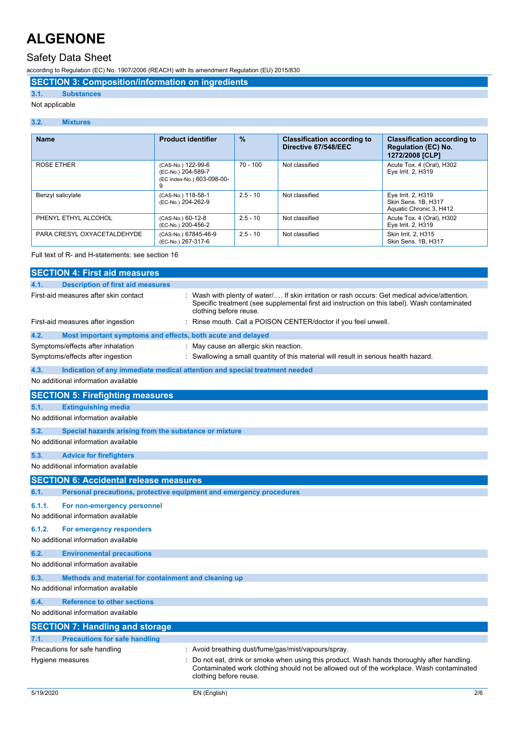### Safety Data Sheet

according to Regulation (EC) No. 1907/2006 (REACH) with its amendment Regulation (EU) 2015/830

**SECTION 3: Composition/information on ingredients**

### **3.1. Substances**

#### Not applicable

#### **3.2. Mixtures**

| <b>Name</b>                 | <b>Product identifier</b>                                              | $\frac{9}{6}$ | <b>Classification according to</b><br>Directive 67/548/EEC | <b>Classification according to</b><br><b>Regulation (EC) No.</b><br>1272/2008 [CLP] |
|-----------------------------|------------------------------------------------------------------------|---------------|------------------------------------------------------------|-------------------------------------------------------------------------------------|
| <b>ROSE ETHER</b>           | (CAS-No.) 122-99-6<br>(EC-No.) 204-589-7<br>(EC Index-No.) 603-098-00- | $70 - 100$    | Not classified                                             | Acute Tox. 4 (Oral), H302<br>Eye Irrit. 2, H319                                     |
| Benzyl salicylate           | (CAS-No.) 118-58-1<br>(EC-No.) 204-262-9                               | $2.5 - 10$    | Not classified                                             | Eye Irrit. 2, H319<br>Skin Sens, 1B, H317<br>Aquatic Chronic 3, H412                |
| PHENYL ETHYL ALCOHOL        | (CAS-No.) 60-12-8<br>(EC-No.) 200-456-2                                | $2.5 - 10$    | Not classified                                             | Acute Tox. 4 (Oral), H302<br>Eye Irrit. 2, H319                                     |
| PARA CRESYL OXYACETALDEHYDE | (CAS-No.) 67845-46-9<br>(EC-No.) 267-317-6                             | $2.5 - 10$    | Not classified                                             | Skin Irrit. 2. H315<br>Skin Sens. 1B, H317                                          |

#### Full text of R- and H-statements: see section 16

| <b>SECTION 4: First aid measures</b>                                               |                                                                                                                                                                                                                       |
|------------------------------------------------------------------------------------|-----------------------------------------------------------------------------------------------------------------------------------------------------------------------------------------------------------------------|
| 4.1.<br><b>Description of first aid measures</b>                                   |                                                                                                                                                                                                                       |
| First-aid measures after skin contact                                              | Wash with plenty of water/ If skin irritation or rash occurs: Get medical advice/attention.<br>Specific treatment (see supplemental first aid instruction on this label). Wash contaminated<br>clothing before reuse. |
| First-aid measures after ingestion                                                 | Rinse mouth. Call a POISON CENTER/doctor if you feel unwell.                                                                                                                                                          |
| 4.2.<br>Most important symptoms and effects, both acute and delayed                |                                                                                                                                                                                                                       |
| Symptoms/effects after inhalation                                                  | May cause an allergic skin reaction.                                                                                                                                                                                  |
| Symptoms/effects after ingestion                                                   | Swallowing a small quantity of this material will result in serious health hazard.                                                                                                                                    |
| 4.3.<br>Indication of any immediate medical attention and special treatment needed |                                                                                                                                                                                                                       |
| No additional information available                                                |                                                                                                                                                                                                                       |
| <b>SECTION 5: Firefighting measures</b>                                            |                                                                                                                                                                                                                       |
| <b>Extinguishing media</b><br>5.1.                                                 |                                                                                                                                                                                                                       |
| No additional information available                                                |                                                                                                                                                                                                                       |
| 5.2.<br>Special hazards arising from the substance or mixture                      |                                                                                                                                                                                                                       |
| No additional information available                                                |                                                                                                                                                                                                                       |
| 5.3.<br><b>Advice for firefighters</b>                                             |                                                                                                                                                                                                                       |
| No additional information available                                                |                                                                                                                                                                                                                       |
| <b>SECTION 6: Accidental release measures</b>                                      |                                                                                                                                                                                                                       |
| Personal precautions, protective equipment and emergency procedures<br>6.1.        |                                                                                                                                                                                                                       |
| 6.1.1.<br>For non-emergency personnel<br>No additional information available       |                                                                                                                                                                                                                       |
| 6.1.2.<br>For emergency responders<br>No additional information available          |                                                                                                                                                                                                                       |
| 6.2.<br><b>Environmental precautions</b>                                           |                                                                                                                                                                                                                       |
| No additional information available                                                |                                                                                                                                                                                                                       |
| 6.3.<br>Methods and material for containment and cleaning up                       |                                                                                                                                                                                                                       |
| No additional information available                                                |                                                                                                                                                                                                                       |
| 6.4.<br><b>Reference to other sections</b>                                         |                                                                                                                                                                                                                       |
| No additional information available                                                |                                                                                                                                                                                                                       |
| <b>SECTION 7: Handling and storage</b>                                             |                                                                                                                                                                                                                       |
| <b>Precautions for safe handling</b><br>7.1.                                       |                                                                                                                                                                                                                       |
| Precautions for safe handling                                                      | : Avoid breathing dust/fume/gas/mist/vapours/spray.                                                                                                                                                                   |
| Hygiene measures                                                                   | Do not eat, drink or smoke when using this product. Wash hands thoroughly after handling.<br>Contaminated work clothing should not be allowed out of the workplace. Wash contaminated<br>clothing before reuse.       |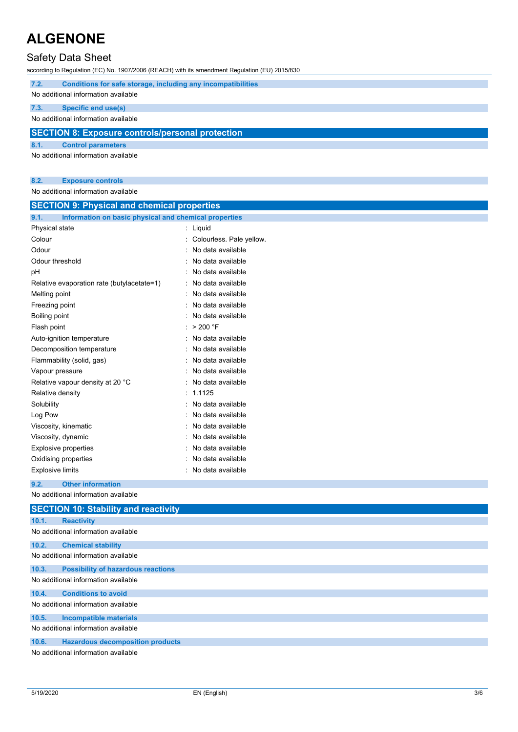## Safety Data Sheet

according to Regulation (EC) No. 1907/2006 (REACH) with its amendment Regulation (EU) 2015/830

| 7.2.                                                    | Conditions for safe storage, including any incompatibilities |  |  |  |
|---------------------------------------------------------|--------------------------------------------------------------|--|--|--|
| No additional information available                     |                                                              |  |  |  |
| 7.3.                                                    | Specific end use(s)                                          |  |  |  |
| No additional information available                     |                                                              |  |  |  |
| <b>SECTION 8: Exposure controls/personal protection</b> |                                                              |  |  |  |
| 8.1.                                                    | <b>Control parameters</b>                                    |  |  |  |
| No additional information available                     |                                                              |  |  |  |

### **8.2. Exposure controls**

No additional information available

| Information on basic physical and chemical properties<br>9.1.<br>Physical state<br>: Liquid<br>Colour<br>: Colourless. Pale yellow.<br>Odour<br>No data available<br>Odour threshold<br>No data available<br>No data available<br>рH<br>No data available<br>Relative evaporation rate (butylacetate=1)<br>No data available<br>Melting point<br>Freezing point<br>No data available<br>No data available<br>Boiling point<br>$>$ 200 $\degree$ F<br>Flash point<br>No data available<br>Auto-ignition temperature<br>No data available<br>Decomposition temperature<br>No data available | <b>SECTION 9: Physical and chemical properties</b> |  |  |
|-------------------------------------------------------------------------------------------------------------------------------------------------------------------------------------------------------------------------------------------------------------------------------------------------------------------------------------------------------------------------------------------------------------------------------------------------------------------------------------------------------------------------------------------------------------------------------------------|----------------------------------------------------|--|--|
|                                                                                                                                                                                                                                                                                                                                                                                                                                                                                                                                                                                           |                                                    |  |  |
|                                                                                                                                                                                                                                                                                                                                                                                                                                                                                                                                                                                           |                                                    |  |  |
|                                                                                                                                                                                                                                                                                                                                                                                                                                                                                                                                                                                           |                                                    |  |  |
|                                                                                                                                                                                                                                                                                                                                                                                                                                                                                                                                                                                           |                                                    |  |  |
|                                                                                                                                                                                                                                                                                                                                                                                                                                                                                                                                                                                           |                                                    |  |  |
|                                                                                                                                                                                                                                                                                                                                                                                                                                                                                                                                                                                           |                                                    |  |  |
|                                                                                                                                                                                                                                                                                                                                                                                                                                                                                                                                                                                           |                                                    |  |  |
|                                                                                                                                                                                                                                                                                                                                                                                                                                                                                                                                                                                           |                                                    |  |  |
|                                                                                                                                                                                                                                                                                                                                                                                                                                                                                                                                                                                           |                                                    |  |  |
|                                                                                                                                                                                                                                                                                                                                                                                                                                                                                                                                                                                           |                                                    |  |  |
|                                                                                                                                                                                                                                                                                                                                                                                                                                                                                                                                                                                           |                                                    |  |  |
|                                                                                                                                                                                                                                                                                                                                                                                                                                                                                                                                                                                           |                                                    |  |  |
|                                                                                                                                                                                                                                                                                                                                                                                                                                                                                                                                                                                           |                                                    |  |  |
|                                                                                                                                                                                                                                                                                                                                                                                                                                                                                                                                                                                           | Flammability (solid, gas)                          |  |  |
| No data available<br>Vapour pressure                                                                                                                                                                                                                                                                                                                                                                                                                                                                                                                                                      |                                                    |  |  |
| Relative vapour density at 20 °C<br>No data available                                                                                                                                                                                                                                                                                                                                                                                                                                                                                                                                     |                                                    |  |  |
| 1.1125<br>Relative density                                                                                                                                                                                                                                                                                                                                                                                                                                                                                                                                                                |                                                    |  |  |
| Solubility<br>No data available                                                                                                                                                                                                                                                                                                                                                                                                                                                                                                                                                           |                                                    |  |  |
| Log Pow<br>No data available                                                                                                                                                                                                                                                                                                                                                                                                                                                                                                                                                              |                                                    |  |  |
| No data available<br>Viscosity, kinematic                                                                                                                                                                                                                                                                                                                                                                                                                                                                                                                                                 |                                                    |  |  |
| Viscosity, dynamic<br>No data available                                                                                                                                                                                                                                                                                                                                                                                                                                                                                                                                                   |                                                    |  |  |
| No data available<br><b>Explosive properties</b>                                                                                                                                                                                                                                                                                                                                                                                                                                                                                                                                          |                                                    |  |  |
| No data available<br>Oxidising properties                                                                                                                                                                                                                                                                                                                                                                                                                                                                                                                                                 |                                                    |  |  |
| <b>Explosive limits</b><br>No data available                                                                                                                                                                                                                                                                                                                                                                                                                                                                                                                                              |                                                    |  |  |
| <b>Other information</b><br>9.2.                                                                                                                                                                                                                                                                                                                                                                                                                                                                                                                                                          |                                                    |  |  |
| No additional information available                                                                                                                                                                                                                                                                                                                                                                                                                                                                                                                                                       |                                                    |  |  |
| <b>SECTION 10: Stability and reactivity</b>                                                                                                                                                                                                                                                                                                                                                                                                                                                                                                                                               |                                                    |  |  |
| 10.1.<br><b>Reactivity</b>                                                                                                                                                                                                                                                                                                                                                                                                                                                                                                                                                                |                                                    |  |  |
| No additional information available                                                                                                                                                                                                                                                                                                                                                                                                                                                                                                                                                       |                                                    |  |  |
| 10.2.<br><b>Chemical stability</b>                                                                                                                                                                                                                                                                                                                                                                                                                                                                                                                                                        |                                                    |  |  |
| No additional information available                                                                                                                                                                                                                                                                                                                                                                                                                                                                                                                                                       |                                                    |  |  |
| <b>Possibility of hazardous reactions</b><br>10.3.                                                                                                                                                                                                                                                                                                                                                                                                                                                                                                                                        |                                                    |  |  |
| No additional information available                                                                                                                                                                                                                                                                                                                                                                                                                                                                                                                                                       |                                                    |  |  |
| 10.4.<br><b>Conditions to avoid</b>                                                                                                                                                                                                                                                                                                                                                                                                                                                                                                                                                       |                                                    |  |  |
| No additional information available                                                                                                                                                                                                                                                                                                                                                                                                                                                                                                                                                       |                                                    |  |  |
| 10.5.<br><b>Incompatible materials</b>                                                                                                                                                                                                                                                                                                                                                                                                                                                                                                                                                    |                                                    |  |  |
| No additional information available                                                                                                                                                                                                                                                                                                                                                                                                                                                                                                                                                       |                                                    |  |  |
| 10.6.<br><b>Hazardous decomposition products</b>                                                                                                                                                                                                                                                                                                                                                                                                                                                                                                                                          |                                                    |  |  |
| No additional information available                                                                                                                                                                                                                                                                                                                                                                                                                                                                                                                                                       |                                                    |  |  |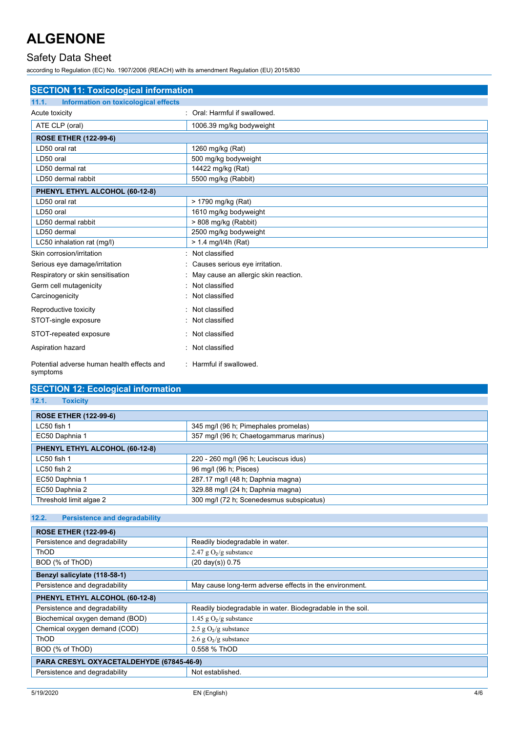### Safety Data Sheet

according to Regulation (EC) No. 1907/2006 (REACH) with its amendment Regulation (EU) 2015/830

| <b>SECTION 11: Toxicological information</b>  |                                      |  |
|-----------------------------------------------|--------------------------------------|--|
| 11.1.<br>Information on toxicological effects |                                      |  |
| Acute toxicity                                | : Oral: Harmful if swallowed.        |  |
| ATE CLP (oral)                                | 1006.39 mg/kg bodyweight             |  |
| <b>ROSE ETHER (122-99-6)</b>                  |                                      |  |
| LD50 oral rat                                 | 1260 mg/kg (Rat)                     |  |
| LD50 oral                                     | 500 mg/kg bodyweight                 |  |
| LD50 dermal rat                               | 14422 mg/kg (Rat)                    |  |
| LD50 dermal rabbit                            | 5500 mg/kg (Rabbit)                  |  |
| PHENYL ETHYL ALCOHOL (60-12-8)                |                                      |  |
| LD50 oral rat                                 | > 1790 mg/kg (Rat)                   |  |
| LD50 oral                                     | 1610 mg/kg bodyweight                |  |
| LD50 dermal rabbit                            | > 808 mg/kg (Rabbit)                 |  |
| LD50 dermal                                   | 2500 mg/kg bodyweight                |  |
| LC50 inhalation rat (mg/l)                    | $> 1.4$ mg/l/4h (Rat)                |  |
| Skin corrosion/irritation                     | Not classified                       |  |
| Serious eye damage/irritation                 | Causes serious eye irritation.       |  |
| Respiratory or skin sensitisation             | May cause an allergic skin reaction. |  |
| Germ cell mutagenicity                        | Not classified                       |  |
| Carcinogenicity                               | Not classified                       |  |
| Reproductive toxicity                         | Not classified                       |  |
| STOT-single exposure                          | Not classified                       |  |
| STOT-repeated exposure                        | Not classified                       |  |
| Aspiration hazard                             | Not classified                       |  |
| Potential adverse human health effects and    | : Harmful if swallowed.              |  |

### **SECTION 12: Ecological information**

**12.1. Toxicity**

symptoms

| <b>ROSE ETHER (122-99-6)</b>   |                                          |  |
|--------------------------------|------------------------------------------|--|
| $LC50$ fish 1                  | 345 mg/l (96 h; Pimephales promelas)     |  |
| EC50 Daphnia 1                 | 357 mg/l (96 h; Chaetogammarus marinus)  |  |
| PHENYL ETHYL ALCOHOL (60-12-8) |                                          |  |
| LC50 fish 1                    | 220 - 260 mg/l (96 h; Leuciscus idus)    |  |
| $LC50$ fish 2                  | 96 mg/l (96 h; Pisces)                   |  |
| EC50 Daphnia 1                 | 287.17 mg/l (48 h; Daphnia magna)        |  |
| EC50 Daphnia 2                 | 329.88 mg/l (24 h; Daphnia magna)        |  |
| Threshold limit algae 2        | 300 mg/l (72 h; Scenedesmus subspicatus) |  |

### **12.2. Persistence and degradability**

| <b>ROSE ETHER (122-99-6)</b>             |                                                            |  |
|------------------------------------------|------------------------------------------------------------|--|
| Persistence and degradability            | Readily biodegradable in water.                            |  |
| <b>ThOD</b>                              | 2.47 g $O_2/g$ substance                                   |  |
| BOD (% of ThOD)                          | $(20 \text{ day}(s)) 0.75$                                 |  |
| Benzyl salicylate (118-58-1)             |                                                            |  |
| Persistence and degradability            | May cause long-term adverse effects in the environment.    |  |
| PHENYL ETHYL ALCOHOL (60-12-8)           |                                                            |  |
| Persistence and degradability            | Readily biodegradable in water. Biodegradable in the soil. |  |
| Biochemical oxygen demand (BOD)          | 1.45 g $O_2/g$ substance                                   |  |
| Chemical oxygen demand (COD)             | 2.5 g $O_2/g$ substance                                    |  |
| <b>ThOD</b>                              | 2.6 g $O_2/g$ substance                                    |  |
| BOD (% of ThOD)                          | 0.558 % ThOD                                               |  |
| PARA CRESYL OXYACETALDEHYDE (67845-46-9) |                                                            |  |
| Persistence and degradability            | Not established.                                           |  |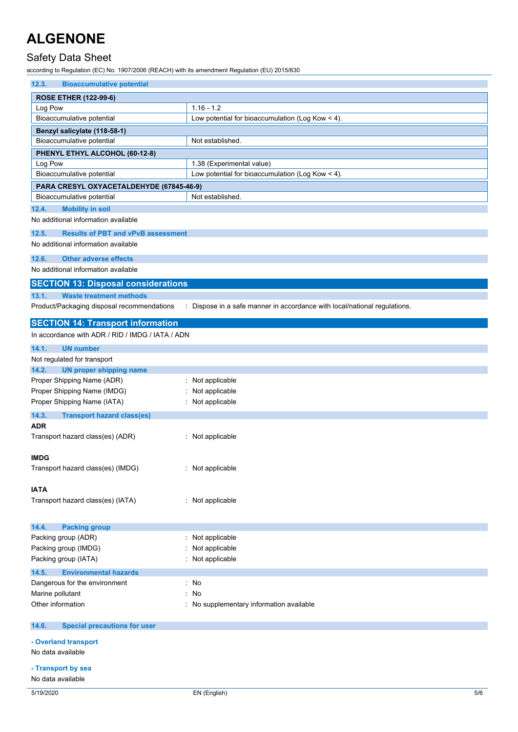## Safety Data Sheet

according to Regulation (EC) No. 1907/2006 (REACH) with its amendment Regulation (EU) 2015/830

| 12.3.<br><b>Bioaccumulative potential</b>          |                                                                           |
|----------------------------------------------------|---------------------------------------------------------------------------|
| <b>ROSE ETHER (122-99-6)</b>                       |                                                                           |
| Log Pow                                            | $1.16 - 1.2$                                                              |
| Bioaccumulative potential                          | Low potential for bioaccumulation (Log Kow $<$ 4).                        |
| Benzyl salicylate (118-58-1)                       |                                                                           |
| Bioaccumulative potential                          | Not established.                                                          |
| PHENYL ETHYL ALCOHOL (60-12-8)                     |                                                                           |
| Log Pow                                            | 1.38 (Experimental value)                                                 |
| Bioaccumulative potential                          | Low potential for bioaccumulation (Log Kow < 4).                          |
| PARA CRESYL OXYACETALDEHYDE (67845-46-9)           |                                                                           |
| Bioaccumulative potential                          | Not established.                                                          |
| 12.4.<br><b>Mobility in soil</b>                   |                                                                           |
| No additional information available                |                                                                           |
|                                                    |                                                                           |
| 12.5.<br><b>Results of PBT and vPvB assessment</b> |                                                                           |
| No additional information available                |                                                                           |
| 12.6.<br><b>Other adverse effects</b>              |                                                                           |
| No additional information available                |                                                                           |
| <b>SECTION 13: Disposal considerations</b>         |                                                                           |
| 13.1.<br><b>Waste treatment methods</b>            |                                                                           |
| Product/Packaging disposal recommendations         | : Dispose in a safe manner in accordance with local/national regulations. |
|                                                    |                                                                           |
| <b>SECTION 14: Transport information</b>           |                                                                           |
| In accordance with ADR / RID / IMDG / IATA / ADN   |                                                                           |
| 14.1.<br><b>UN number</b>                          |                                                                           |
| Not regulated for transport                        |                                                                           |
| 14.2.<br><b>UN proper shipping name</b>            |                                                                           |
| Proper Shipping Name (ADR)                         | : Not applicable                                                          |
| Proper Shipping Name (IMDG)                        | Not applicable                                                            |
| Proper Shipping Name (IATA)                        | : Not applicable                                                          |
| 14.3.                                              |                                                                           |
| <b>Transport hazard class(es)</b><br><b>ADR</b>    |                                                                           |
| Transport hazard class(es) (ADR)                   | : Not applicable                                                          |
|                                                    |                                                                           |
| <b>IMDG</b>                                        |                                                                           |
| Transport hazard class(es) (IMDG)                  | Not applicable                                                            |
|                                                    |                                                                           |
| <b>IATA</b>                                        |                                                                           |
| Transport hazard class(es) (IATA)                  | : Not applicable                                                          |
|                                                    |                                                                           |
|                                                    |                                                                           |
| 14.4.<br><b>Packing group</b>                      |                                                                           |
| Packing group (ADR)                                | : Not applicable                                                          |
| Packing group (IMDG)                               | Not applicable                                                            |
| Packing group (IATA)                               | : Not applicable                                                          |
| <b>Environmental hazards</b><br>14.5.              |                                                                           |
| Dangerous for the environment                      | : No                                                                      |
| Marine pollutant                                   | No                                                                        |
| Other information                                  | : No supplementary information available                                  |
|                                                    |                                                                           |
| <b>Special precautions for user</b><br>14.6.       |                                                                           |
|                                                    |                                                                           |
| - Overland transport<br>No data available          |                                                                           |
|                                                    |                                                                           |
| - Transport by sea                                 |                                                                           |
| No data available                                  |                                                                           |